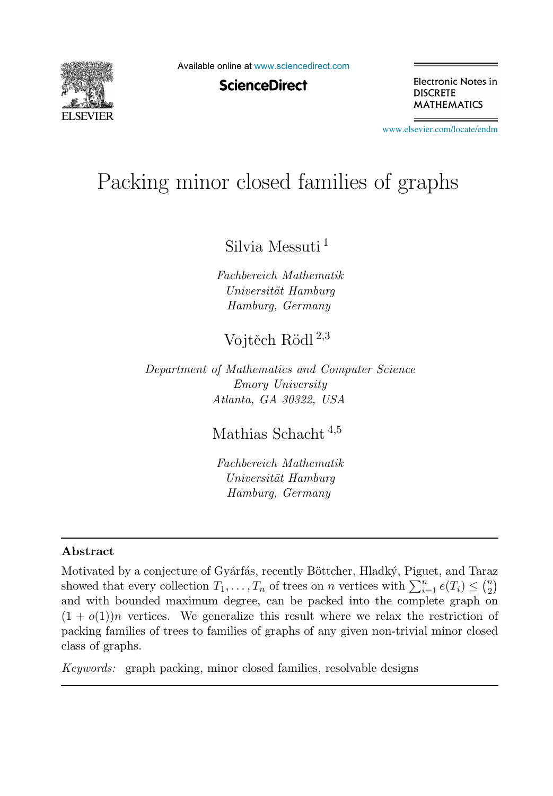

Available online at [www.sciencedirect.com](http://www.sciencedirect.com)

**ScienceDirect** 

Electronic Notes in **DISCRETE MATHEMATICS** 

[www.elsevier.com/locate/endm](http://www.elsevier.com/locate/endm)

# Packing minor closed families of graphs

Silvia Messuti <sup>1</sup>

Fachbereich Mathematik Universität Hamburg Hamburg, Germany

# Voitěch Rödl $^{2,3}$

Department of Mathematics and Computer Science Emory University Atlanta, GA 30322, USA

Mathias Schacht <sup>4</sup>,<sup>5</sup>

Fachbereich Mathematik Universität Hamburg Hamburg, Germany

#### Abstract

Motivated by a conjecture of Gyárfás, recently Böttcher, Hladký, Piguet, and Taraz showed that every collection  $T_1, \ldots, T_n$  of trees on n vertices with  $\sum_{i=1}^n e(T_i) \leq {n \choose 2}$ and with bounded maximum degree, can be packed into the complete graph on  $(1 + o(1))n$  vertices. We generalize this result where we relax the restriction of packing families of trees to families of graphs of any given non-trivial minor closed class of graphs.

Keywords: graph packing, minor closed families, resolvable designs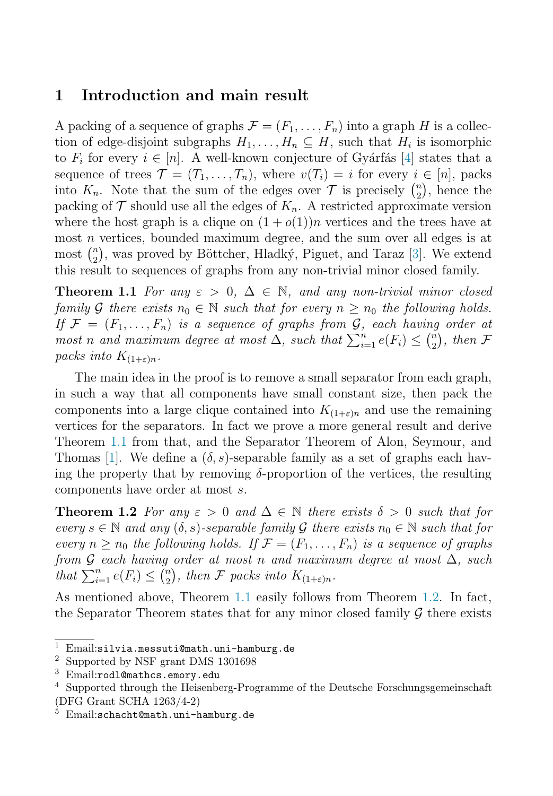## 1 Introduction and main result

<span id="page-1-0"></span>A packing of a sequence of graphs  $\mathcal{F} = (F_1, \ldots, F_n)$  into a graph H is a collection of edge-disjoint subgraphs  $H_1, \ldots, H_n \subseteq H$ , such that  $H_i$  is isomorphic to  $F_i$  for every  $i \in [n]$ . A well-known conjecture of Gyárfás [\[4\]](#page-8-0) states that a sequence of trees  $\mathcal{T} = (T_1, \ldots, T_n)$ , where  $v(T_i) = i$  for every  $i \in [n]$ , packs into  $K_n$ . Note that the sum of the edges over  $\mathcal T$  is precisely  $\binom{n}{2}$ , hence the packing of  $\mathcal T$  should use all the edges of  $K_n$ . A restricted approximate version where the host graph is a clique on  $(1 + o(1))n$  vertices and the trees have at most n vertices, bounded maximum degree, and the sum over all edges is at most  $\binom{n}{2}$ , was proved by Böttcher, Hladký, Piguet, and Taraz [\[3\]](#page-8-1). We extend this result to sequences of graphs from any non-trivial minor closed family.

**Theorem 1.1** For any  $\varepsilon > 0$ ,  $\Delta \in \mathbb{N}$ , and any non-trivial minor closed family G there exists  $n_0 \in \mathbb{N}$  such that for every  $n \geq n_0$  the following holds. If  $\mathcal{F} = (F_1, \ldots, F_n)$  is a sequence of graphs from  $\mathcal{G}$ , each having order at most n and maximum degree at most  $\Delta$ , such that  $\sum_{i=1}^{n} e(F_i) \leq {n \choose 2}$ , then F packs into  $K_{(1+\varepsilon)n}$ .

<span id="page-1-1"></span>The main idea in the proof is to remove a small separator from each graph, in such a way that all components have small constant size, then pack the components into a large clique contained into  $K_{(1+\varepsilon)n}$  and use the remaining vertices for the separators. In fact we prove a more general result and derive Theorem [1.1](#page-1-0) from that, and the Separator Theorem of Alon, Seymour, and Thomas [\[1\]](#page-7-0). We define a  $(\delta, s)$ -separable family as a set of graphs each having the property that by removing  $\delta$ -proportion of the vertices, the resulting components have order at most s.

**Theorem 1.2** For any  $\varepsilon > 0$  and  $\Delta \in \mathbb{N}$  there exists  $\delta > 0$  such that for every  $s \in \mathbb{N}$  and any  $(\delta, s)$ -separable family G there exists  $n_0 \in \mathbb{N}$  such that for every  $n > n_0$  the following holds. If  $\mathcal{F} = (F_1, \ldots, F_n)$  is a sequence of graphs from G each having order at most n and maximum degree at most  $\Delta$ , such that  $\sum_{i=1}^{n} e(F_i) \leq {n \choose 2}$ , then F packs into  $K_{(1+\varepsilon)n}$ .

As mentioned above, Theorem [1.1](#page-1-0) easily follows from Theorem [1.2.](#page-1-1) In fact, the Separator Theorem states that for any minor closed family  $\mathcal G$  there exists

Email:silvia.messuti@math.uni-hamburg.de<br>Supported by NSF grant DMS 1301698

 $\frac{3}{4}$  Email:rodl@mathcs.emory.edu<br> $\frac{4}{4}$  Supported through the Heisenbe

Supported through the Heisenberg-Programme of the Deutsche Forschungsgemeinschaft (DFG Grant SCHA 1263/4-2)

 $5$  Email:schacht@math.uni-hamburg.de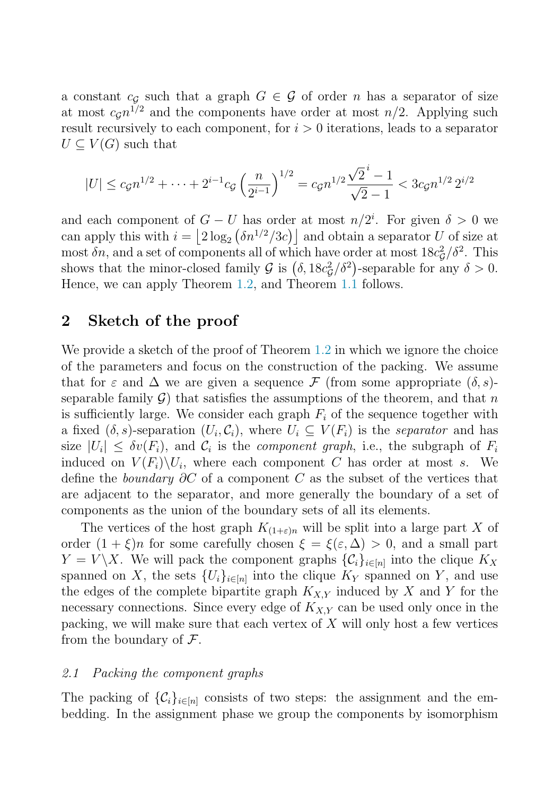a constant  $c_G$  such that a graph  $G \in \mathcal{G}$  of order n has a separator of size at most  $c_G n^{1/2}$  and the components have order at most  $n/2$ . Applying such result recursively to each component, for  $i > 0$  iterations, leads to a separator  $U \subset V(G)$  such that

$$
|U| \le c_g n^{1/2} + \dots + 2^{i-1} c_g \left(\frac{n}{2^{i-1}}\right)^{1/2} = c_g n^{1/2} \frac{\sqrt{2}^i - 1}{\sqrt{2} - 1} < 3c_g n^{1/2} 2^{i/2}
$$

and each component of  $G - U$  has order at most  $n/2^i$ . For given  $\delta > 0$  we can apply this with  $i = \left\lfloor 2 \log_2 \left( \delta n^{1/2} / 3c \right) \right\rfloor$  and obtain a separator U of size at most  $\delta n$ , and a set of components all of which have order at most  $18c_g^2/\delta^2$ . This shows that the minor-closed family  $\mathcal{G}$  is  $(\delta, 18c_g^2/\delta^2)$ -separable for any  $\delta > 0$ . Hence, we can apply Theorem [1.2,](#page-1-1) and Theorem [1.1](#page-1-0) follows.

### 2 Sketch of the proof

We provide a sketch of the proof of Theorem [1.2](#page-1-1) in which we ignore the choice of the parameters and focus on the construction of the packing. We assume that for  $\varepsilon$  and  $\Delta$  we are given a sequence F (from some appropriate  $(\delta, s)$ separable family  $\mathcal G$ ) that satisfies the assumptions of the theorem, and that n is sufficiently large. We consider each graph  $F_i$  of the sequence together with a fixed  $(\delta, s)$ -separation  $(U_i, \mathcal{C}_i)$ , where  $U_i \subseteq V(F_i)$  is the separator and has size  $|U_i| \leq \delta v(F_i)$ , and  $\mathcal{C}_i$  is the *component graph*, i.e., the subgraph of  $F_i$ induced on  $V(F_i)\backslash U_i$ , where each component C has order at most s. We define the *boundary* ∂C of a component C as the subset of the vertices that are adjacent to the separator, and more generally the boundary of a set of components as the union of the boundary sets of all its elements.

The vertices of the host graph  $K_{(1+\varepsilon)n}$  will be split into a large part X of order  $(1 + \xi)n$  for some carefully chosen  $\xi = \xi(\varepsilon, \Delta) > 0$ , and a small part  $Y = V \backslash X$ . We will pack the component graphs  $\{\mathcal{C}_i\}_{i \in [n]}$  into the clique  $K_X$ spanned on X, the sets  $\{U_i\}_{i\in[n]}$  into the clique  $K_Y$  spanned on Y, and use the edges of the complete bipartite graph  $K_{X,Y}$  induced by X and Y for the necessary connections. Since every edge of  $K_{XY}$  can be used only once in the packing, we will make sure that each vertex of  $X$  will only host a few vertices from the boundary of  $\mathcal{F}$ .

#### 2.1 Packing the component graphs

The packing of  $\{\mathcal{C}_i\}_{i\in[n]}$  consists of two steps: the assignment and the embedding. In the assignment phase we group the components by isomorphism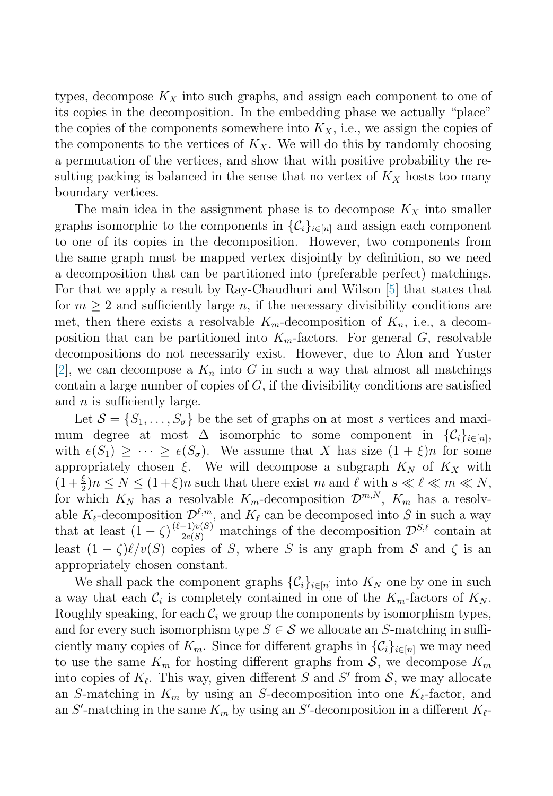types, decompose  $K_X$  into such graphs, and assign each component to one of its copies in the decomposition. In the embedding phase we actually "place" the copies of the components somewhere into  $K_X$ , i.e., we assign the copies of the components to the vertices of  $K_X$ . We will do this by randomly choosing a permutation of the vertices, and show that with positive probability the resulting packing is balanced in the sense that no vertex of  $K_X$  hosts too many boundary vertices.

The main idea in the assignment phase is to decompose  $K_X$  into smaller graphs isomorphic to the components in  $\{\mathcal{C}_i\}_{i\in[n]}$  and assign each component to one of its copies in the decomposition. However, two components from the same graph must be mapped vertex disjointly by definition, so we need a decomposition that can be partitioned into (preferable perfect) matchings. For that we apply a result by Ray-Chaudhuri and Wilson [\[5\]](#page-8-2) that states that for  $m \geq 2$  and sufficiently large n, if the necessary divisibility conditions are met, then there exists a resolvable  $K_m$ -decomposition of  $K_n$ , i.e., a decomposition that can be partitioned into  $K_m$ -factors. For general G, resolvable decompositions do not necessarily exist. However, due to Alon and Yuster [\[2\]](#page-7-1), we can decompose a  $K_n$  into G in such a way that almost all matchings contain a large number of copies of  $G$ , if the divisibility conditions are satisfied and  $n$  is sufficiently large.

Let  $S = \{S_1, \ldots, S_{\sigma}\}\$ be the set of graphs on at most s vertices and maximum degree at most  $\Delta$  isomorphic to some component in  $\{\mathcal{C}_i\}_{i\in[n]},$ with  $e(S_1) \geq \cdots \geq e(S_{\sigma})$ . We assume that X has size  $(1+\xi)n$  for some appropriately chosen  $\xi$ . We will decompose a subgraph  $K_N$  of  $K_X$  with  $(1+\frac{\xi}{2})n \leq N \leq (1+\xi)n$  such that there exist m and  $\ell$  with  $s \ll \ell \ll m \ll N$ , for which  $K_N$  has a resolvable  $K_m$ -decomposition  $\mathcal{D}^{m,N}$ ,  $K_m$  has a resolvable  $K_{\ell}$ -decomposition  $\mathcal{D}^{\ell,m}$ , and  $K_{\ell}$  can be decomposed into S in such a way that at least  $(1 - \zeta) \frac{(\ell-1)v(S)}{2e(S)}$  matchings of the decomposition  $\mathcal{D}^{S,\ell}$  contain at least  $(1 - \zeta)\ell/v(S)$  copies of S, where S is any graph from S and  $\zeta$  is an appropriately chosen constant.

We shall pack the component graphs  $\{\mathcal{C}_i\}_{i\in[n]}$  into  $K_N$  one by one in such a way that each  $C_i$  is completely contained in one of the  $K_m$ -factors of  $K_N$ . Roughly speaking, for each  $C_i$  we group the components by isomorphism types, and for every such isomorphism type  $S \in \mathcal{S}$  we allocate an S-matching in sufficiently many copies of  $K_m$ . Since for different graphs in  $\{\mathcal{C}_i\}_{i\in[n]}$  we may need to use the same  $K_m$  for hosting different graphs from  $S$ , we decompose  $K_m$ into copies of  $K_{\ell}$ . This way, given different S and S' from S, we may allocate an S-matching in  $K_m$  by using an S-decomposition into one  $K_{\ell}$ -factor, and an S'-matching in the same  $K_m$  by using an S'-decomposition in a different  $K_{\ell}$ -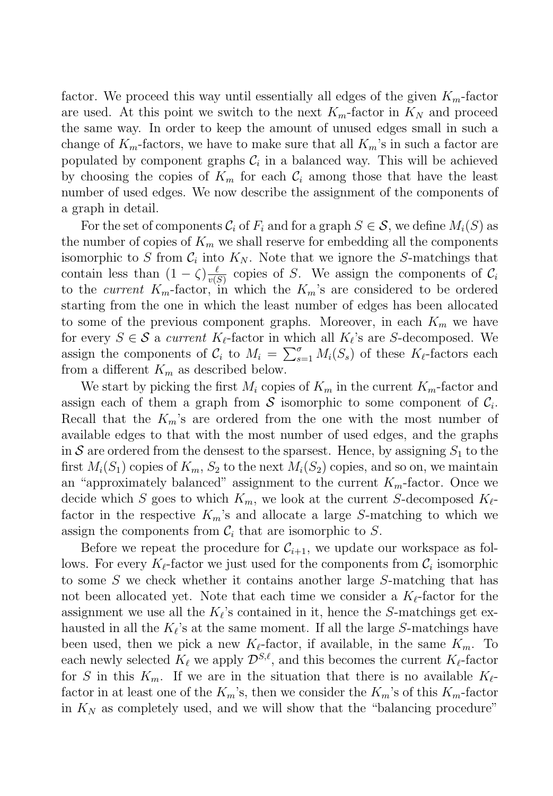factor. We proceed this way until essentially all edges of the given  $K_{m}$ -factor are used. At this point we switch to the next  $K_m$ -factor in  $K_N$  and proceed the same way. In order to keep the amount of unused edges small in such a change of  $K_m$ -factors, we have to make sure that all  $K_m$ 's in such a factor are populated by component graphs  $\mathcal{C}_i$  in a balanced way. This will be achieved by choosing the copies of  $K_m$  for each  $\mathcal{C}_i$  among those that have the least number of used edges. We now describe the assignment of the components of a graph in detail.

For the set of components  $\mathcal{C}_i$  of  $F_i$  and for a graph  $S \in \mathcal{S}$ , we define  $M_i(S)$  as the number of copies of  $K_m$  we shall reserve for embedding all the components isomorphic to S from  $C_i$  into  $K_N$ . Note that we ignore the S-matchings that contain less than  $(1 - \zeta) \frac{\ell}{v(S)}$  copies of S. We assign the components of  $C_i$ to the current  $K_m$ -factor, in which the  $K_m$ 's are considered to be ordered starting from the one in which the least number of edges has been allocated to some of the previous component graphs. Moreover, in each  $K_m$  we have for every  $S \in \mathcal{S}$  a *current*  $K_{\ell}$ -factor in which all  $K_{\ell}$ 's are S-decomposed. We assign the components of  $C_i$  to  $M_i = \sum_{s=1}^{\sigma} M_i(S_s)$  of these  $K_{\ell}$ -factors each from a different  $K_m$  as described below.

We start by picking the first  $M_i$  copies of  $K_m$  in the current  $K_m$ -factor and assign each of them a graph from S isomorphic to some component of  $C_i$ . Recall that the  $K_m$ 's are ordered from the one with the most number of available edges to that with the most number of used edges, and the graphs in S are ordered from the densest to the sparsest. Hence, by assigning  $S_1$  to the first  $M_i(S_1)$  copies of  $K_m$ ,  $S_2$  to the next  $M_i(S_2)$  copies, and so on, we maintain an "approximately balanced" assignment to the current  $K_m$ -factor. Once we decide which S goes to which  $K_m$ , we look at the current S-decomposed  $K_{\ell}$ factor in the respective  $K_m$ 's and allocate a large S-matching to which we assign the components from  $C_i$  that are isomorphic to S.

Before we repeat the procedure for  $\mathcal{C}_{i+1}$ , we update our workspace as follows. For every  $K_{\ell}$ -factor we just used for the components from  $\mathcal{C}_i$  isomorphic to some S we check whether it contains another large S-matching that has not been allocated yet. Note that each time we consider a  $K_{\ell}$ -factor for the assignment we use all the  $K_{\ell}$ 's contained in it, hence the S-matchings get exhausted in all the  $K_{\ell}$ 's at the same moment. If all the large S-matchings have been used, then we pick a new  $K_{\ell}$ -factor, if available, in the same  $K_m$ . To each newly selected  $K_{\ell}$  we apply  $\mathcal{D}^{S,\ell}$ , and this becomes the current  $K_{\ell}$ -factor for S in this  $K_m$ . If we are in the situation that there is no available  $K_{\ell}$ factor in at least one of the  $K_m$ 's, then we consider the  $K_m$ 's of this  $K_m$ -factor in  $K_N$  as completely used, and we will show that the "balancing procedure"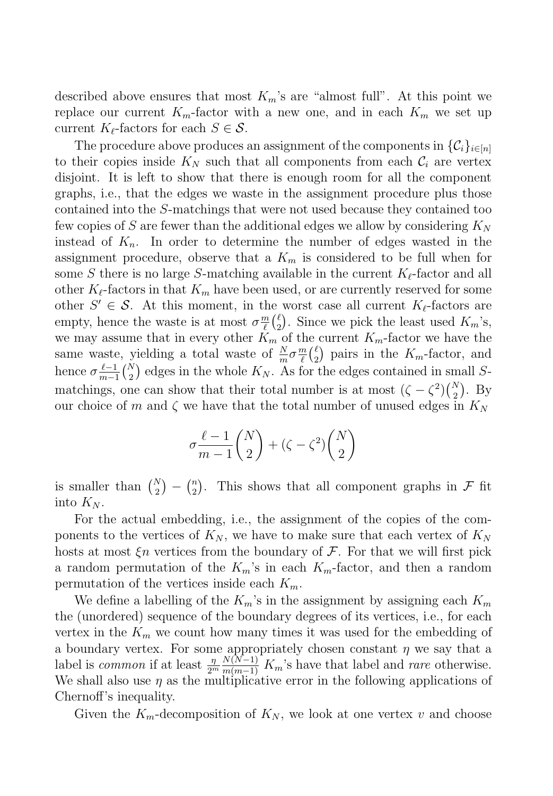described above ensures that most  $K_m$ 's are "almost full". At this point we replace our current  $K_m$ -factor with a new one, and in each  $K_m$  we set up current  $K_{\ell}$ -factors for each  $S \in \mathcal{S}$ .

The procedure above produces an assignment of the components in  $\{\mathcal{C}_i\}_{i\in[n]}$ to their copies inside  $K_N$  such that all components from each  $\mathcal{C}_i$  are vertex disjoint. It is left to show that there is enough room for all the component graphs, i.e., that the edges we waste in the assignment procedure plus those contained into the S-matchings that were not used because they contained too few copies of S are fewer than the additional edges we allow by considering  $K_N$ instead of  $K_n$ . In order to determine the number of edges wasted in the assignment procedure, observe that a  $K_m$  is considered to be full when for some S there is no large S-matching available in the current  $K_{\ell}$ -factor and all other  $K_{\ell}$ -factors in that  $K_m$  have been used, or are currently reserved for some other  $S' \in \mathcal{S}$ . At this moment, in the worst case all current  $K_{\ell}$ -factors are empty, hence the waste is at most  $\sigma_{\ell}^{m}({\ell \choose 2})$ . Since we pick the least used  $K_m$ 's, we may assume that in every other  $K_m$  of the current  $K_m$ -factor we have the same waste, yielding a total waste of  $\frac{N}{m}\sigma \frac{m}{\ell}$  ( $\ell$ ) pairs in the  $K_m$ -factor, and hence  $\sigma \frac{\ell-1}{m-1} {N \choose 2}$  edges in the whole  $K_N$ . As for the edges contained in small Smatchings, one can show that their total number is at most  $(\zeta - \zeta^2) {N \choose 2}$ . By our choice of m and  $\zeta$  we have that the total number of unused edges in  $K_N$ 

$$
\sigma \frac{\ell-1}{m-1} \binom{N}{2} + (\zeta - \zeta^2) \binom{N}{2}
$$

is smaller than  $\binom{N}{2} - \binom{n}{2}$ . This shows that all component graphs in F fit into  $K_N$ .

For the actual embedding, i.e., the assignment of the copies of the components to the vertices of  $K_N$ , we have to make sure that each vertex of  $K_N$ hosts at most  $\xi n$  vertices from the boundary of  $\mathcal F$ . For that we will first pick a random permutation of the  $K_m$ 's in each  $K_m$ -factor, and then a random permutation of the vertices inside each  $K_m$ .

We define a labelling of the  $K_m$ 's in the assignment by assigning each  $K_m$ the (unordered) sequence of the boundary degrees of its vertices, i.e., for each vertex in the  $K_m$  we count how many times it was used for the embedding of a boundary vertex. For some appropriately chosen constant  $\eta$  we say that a label is common if at least  $\frac{\eta}{2^m} \frac{N(N-1)}{m(m-1)} K_m$ 's have that label and *rare* otherwise. We shall also use  $\eta$  as the multiplicative error in the following applications of Chernoff's inequality.

Given the  $K_m$ -decomposition of  $K_N$ , we look at one vertex v and choose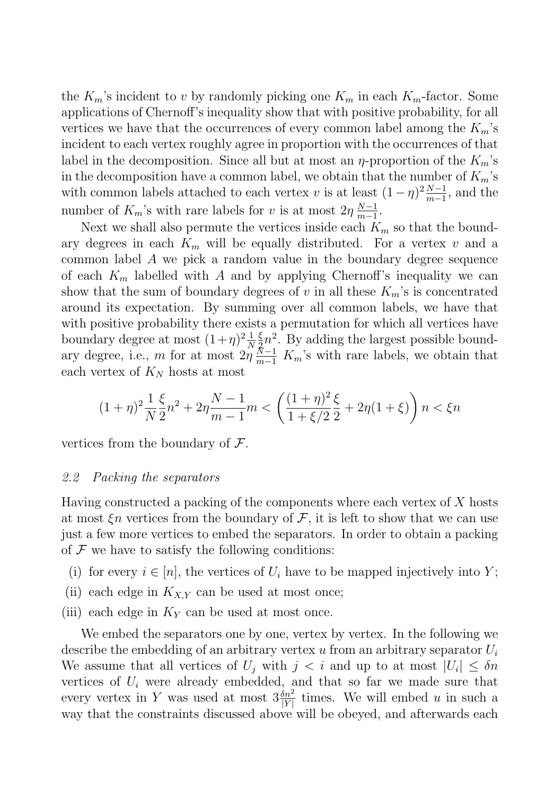the  $K_m$ 's incident to v by randomly picking one  $K_m$  in each  $K_m$ -factor. Some applications of Chernoff's inequality show that with positive probability, for all vertices we have that the occurrences of every common label among the  $K_m$ 's incident to each vertex roughly agree in proportion with the occurrences of that label in the decomposition. Since all but at most an  $\eta$ -proportion of the  $K_m$ 's in the decomposition have a common label, we obtain that the number of  $K_m$ 's with common labels attached to each vertex v is at least  $(1 - \eta)^2 \frac{N-1}{m-1}$ , and the number of  $K_m$ 's with rare labels for v is at most  $2\eta \frac{N-1}{m-1}$ .

Next we shall also permute the vertices inside each  $K_m$  so that the boundary degrees in each  $K_m$  will be equally distributed. For a vertex v and a common label A we pick a random value in the boundary degree sequence of each  $K_m$  labelled with A and by applying Chernoff's inequality we can show that the sum of boundary degrees of v in all these  $K_m$ 's is concentrated around its expectation. By summing over all common labels, we have that with positive probability there exists a permutation for which all vertices have boundary degree at most  $(1+\eta)^2\frac{1}{N}$  $\frac{\xi}{2}n^2$ . By adding the largest possible boundary degree, i.e., m for at most  $2\eta \frac{N-1}{m-1} K_m$ 's with rare labels, we obtain that each vertex of  $K_N$  hosts at most

$$
(1+\eta)^2 \frac{1}{N} \frac{\xi}{2} n^2 + 2\eta \frac{N-1}{m-1} m < \left(\frac{(1+\eta)^2}{1+\xi/2} \frac{\xi}{2} + 2\eta (1+\xi)\right) n < \xi n
$$

vertices from the boundary of  $\mathcal{F}$ .

#### 2.2 Packing the separators

Having constructed a packing of the components where each vertex of  $X$  hosts at most  $\xi n$  vertices from the boundary of  $\mathcal{F}$ , it is left to show that we can use just a few more vertices to embed the separators. In order to obtain a packing of  $\mathcal F$  we have to satisfy the following conditions:

- (i) for every  $i \in [n]$ , the vertices of  $U_i$  have to be mapped injectively into Y;
- (ii) each edge in  $K_{X,Y}$  can be used at most once;
- (iii) each edge in  $K_Y$  can be used at most once.

We embed the separators one by one, vertex by vertex. In the following we describe the embedding of an arbitrary vertex u from an arbitrary separator  $U_i$ We assume that all vertices of  $U_i$  with  $j < i$  and up to at most  $|U_i| \leq \delta n$ vertices of  $U_i$  were already embedded, and that so far we made sure that every vertex in Y was used at most  $3\frac{\dot{\delta}n^2}{|Y|}$  times. We will embed u in such a way that the constraints discussed above will be obeyed, and afterwards each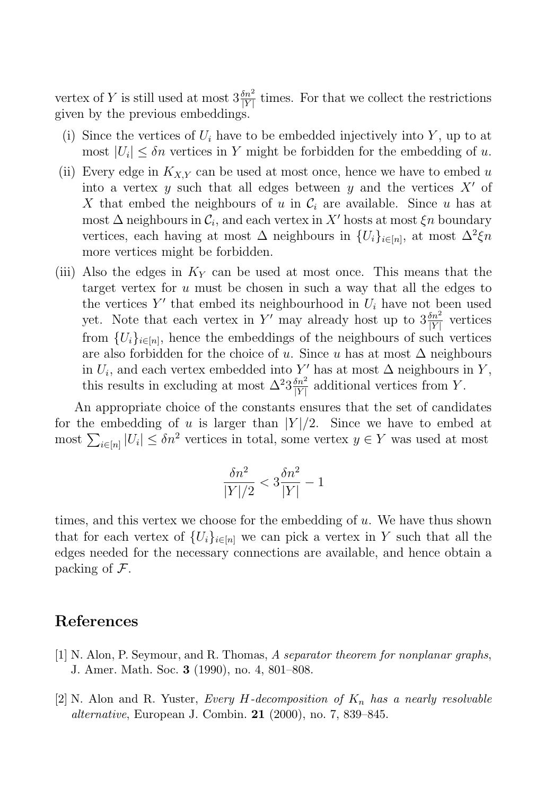vertex of Y is still used at most  $3\frac{\delta n^2}{|Y|}$  times. For that we collect the restrictions given by the previous embeddings.

- (i) Since the vertices of  $U_i$  have to be embedded injectively into Y, up to at most  $|U_i| \leq \delta n$  vertices in Y might be forbidden for the embedding of u.
- (ii) Every edge in  $K_{X,Y}$  can be used at most once, hence we have to embed u into a vertex  $y$  such that all edges between  $y$  and the vertices  $X'$  of X that embed the neighbours of u in  $\mathcal{C}_i$  are available. Since u has at most  $\Delta$  neighbours in  $\mathcal{C}_i$ , and each vertex in X' hosts at most  $\xi n$  boundary vertices, each having at most  $\Delta$  neighbours in  $\{U_i\}_{i\in[n]}$ , at most  $\Delta^2 \xi n$ more vertices might be forbidden.
- (iii) Also the edges in  $K_Y$  can be used at most once. This means that the target vertex for  $u$  must be chosen in such a way that all the edges to the vertices  $Y'$  that embed its neighbourhood in  $U_i$  have not been used yet. Note that each vertex in Y' may already host up to  $3\frac{\delta n^2}{|Y|}$  vertices from  ${U_i}_{i \in [n]}$ , hence the embeddings of the neighbours of such vertices are also forbidden for the choice of u. Since u has at most  $\Delta$  neighbours in  $U_i$ , and each vertex embedded into Y' has at most  $\Delta$  neighbours in Y, this results in excluding at most  $\Delta^2 3 \frac{\delta n^2}{|Y|}$  additional vertices from Y.

An appropriate choice of the constants ensures that the set of candidates for the embedding of u is larger than  $|Y|/2$ . Since we have to embed at most  $\sum_{i\in[n]} |U_i| \leq \delta n^2$  vertices in total, some vertex  $y \in Y$  was used at most

$$
\frac{\delta n^2}{|Y|/2} < 3\frac{\delta n^2}{|Y|} - 1
$$

times, and this vertex we choose for the embedding of  $u$ . We have thus shown that for each vertex of  $\{U_i\}_{i\in[n]}$  we can pick a vertex in Y such that all the edges needed for the necessary connections are available, and hence obtain a packing of  $\mathcal{F}$ .

### <span id="page-7-1"></span><span id="page-7-0"></span>References

- [1] N. Alon, P. Seymour, and R. Thomas, A separator theorem for nonplanar graphs, J. Amer. Math. Soc. 3 (1990), no. 4, 801–808.
- [2] N. Alon and R. Yuster, Every H-decomposition of  $K_n$  has a nearly resolvable alternative, European J. Combin. 21 (2000), no. 7, 839–845.